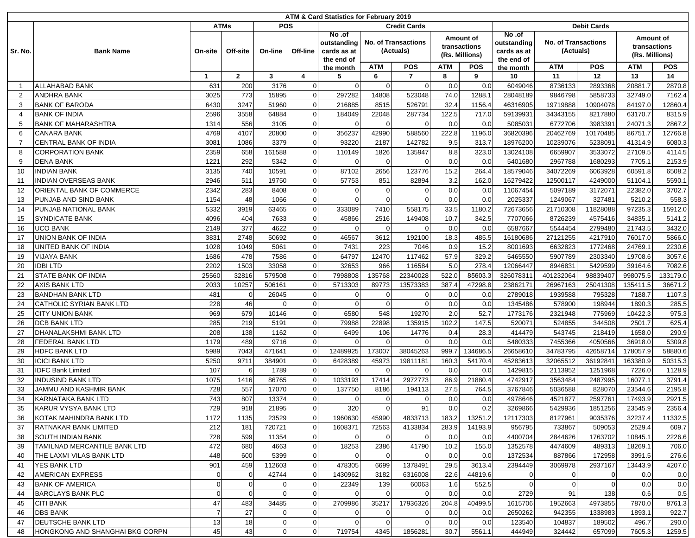| ATM & Card Statistics for February 2019 |                                 |                  |                          |                         |              |                |                            |                     |            |                |                    |                            |             |                           |            |
|-----------------------------------------|---------------------------------|------------------|--------------------------|-------------------------|--------------|----------------|----------------------------|---------------------|------------|----------------|--------------------|----------------------------|-------------|---------------------------|------------|
|                                         |                                 |                  | <b>ATMs</b>              |                         | <b>POS</b>   |                |                            | <b>Credit Cards</b> |            |                | <b>Debit Cards</b> |                            |             |                           |            |
|                                         |                                 |                  |                          |                         |              | No.of          |                            |                     |            | Amount of      | No.of              |                            |             | Amount of<br>transactions |            |
|                                         |                                 |                  | Off-site<br>$\mathbf{2}$ | On-line<br>$\mathbf{3}$ |              | outstanding    | <b>No. of Transactions</b> |                     |            | transactions   | outstanding        | <b>No. of Transactions</b> |             |                           |            |
| Sr. No.                                 | <b>Bank Name</b>                | On-site          |                          |                         | Off-line     | cards as at    |                            | (Actuals)           |            | (Rs. Millions) | cards as at        | (Actuals)                  |             | (Rs. Millions)            |            |
|                                         |                                 |                  |                          |                         |              | the end of     | <b>ATM</b>                 | <b>POS</b>          | <b>ATM</b> | <b>POS</b>     | the end of         | <b>ATM</b>                 | <b>POS</b>  | <b>ATM</b>                | <b>POS</b> |
|                                         |                                 | $\mathbf 1$      |                          |                         | 4            | the month<br>5 | 6                          | $\overline{7}$      | 8          | 9              | the month<br>10    | 11                         | 12          | 13                        | 14         |
| $\overline{1}$                          | <b>ALLAHABAD BANK</b>           | 631              | 200                      | 3176                    | $\Omega$     | $\Omega$       | $\Omega$                   | $\Omega$            | 0.0        | 0.0            | 6049046            | 8736133                    | 2893368     | 20881.7                   | 2870.8     |
| $\overline{2}$                          | <b>ANDHRA BANK</b>              | 3025             | 773                      | 15895                   | $\mathsf{C}$ | 297282         | 14808                      | 523048              | 74.0       | 1288.1         | 28048189           | 9846798                    | 5858733     | 32749.0                   | 7162.4     |
| 3                                       | <b>BANK OF BARODA</b>           | 6430             | 3247                     | 51960                   | $\Omega$     | 216885         | 8515                       | 526791              | 32.4       | 1156.4         | 46316905           | 19719888                   | 10904078    | 84197.0                   | 12860.4    |
| 4                                       | <b>BANK OF INDIA</b>            | 2596             | 3558                     | 64884                   | $\Omega$     | 184049         | 22048                      | 287734              | 122.5      | 717.0          | 59139931           | 34343155                   | 8217880     | 63170.7                   | 8315.9     |
| 5                                       | <b>BANK OF MAHARASHTRA</b>      | 1314             | 556                      | 3105                    | $\Omega$     |                | $\Omega$                   | <sup>0</sup>        | 0.0        | 0.0            | 5085031            | 6772706                    | 3983391     | 24071.3                   | 2867.2     |
| 6                                       | <b>CANARA BANK</b>              | 4769             | 4107                     | 20800                   | $\Omega$     | 356237         | 42990                      | 588560              | 222.8      | 1196.0         | 36820396           | 20462769                   | 10170485    | 86751.7                   | 12766.8    |
| 7                                       | <b>CENTRAL BANK OF INDIA</b>    | 3081             | 1086                     | 3379                    | $\mathsf{C}$ | 93220          | 2187                       | 142782              | 9.5        | 313.7          | 18976200           | 10239076                   | 5238091     | 41314.9                   | 6080.3     |
| 8                                       | <b>CORPORATION BANK</b>         | 2359             | 658                      | 161588                  | $\Omega$     | 110149         | 1826                       | 135947              | 8.8        | 323.0          | 13024108           | 6659907                    | 3533072     | 27109.5                   | 4114.5     |
| 9                                       | <b>DENA BANK</b>                | 1221             | 292                      | 5342                    | $\Omega$     | $\Omega$       | $\Omega$                   | $\Omega$            | 0.0        | 0.0            | 5401680            | 2967788                    | 1680293     | 7705.1                    | 2153.9     |
| 10                                      | <b>INDIAN BANK</b>              | 3135             | 740                      | 10591                   | $\Omega$     | 87102          | 2656                       | 123776              | 15.2       | 264.4          | 18579046           | 34072269                   | 6063928     | 60591.8                   | 6508.2     |
| 11                                      | <b>INDIAN OVERSEAS BANK</b>     | 2946             | 511                      | 19750                   | $\Omega$     | 57753          | 851                        | 82894               | 3.2        | 162.0          | 16279422           | 12500117                   | 4249000     | 51104.1                   | 5590.1     |
| 12                                      | ORIENTAL BANK OF COMMERCE       | 2342             | 283                      | 8408                    | $\sqrt{ }$   |                | $\Omega$                   | $\Omega$            | 0.0        | 0.0            | 11067454           | 5097189                    | 3172071     | 22382.0                   | 3702.7     |
| 13                                      | PUNJAB AND SIND BANK            | 1154             | 48                       | 1066                    | $\Omega$     |                | $\Omega$                   | $\Omega$            | 0.0        | 0.0            | 2025337            | 1249067                    | 327481      | 5210.2                    | 558.3      |
| 14                                      | PUNJAB NATIONAL BANK            | 5332             | 3919                     | 63465                   | $\Omega$     | 333089         | 7410                       | 558175              | 33.5       | 1180.2         | 72673656           | 21710308                   | 11828088    | 97235.3                   | 15912.0    |
| 15                                      | <b>SYNDICATE BANK</b>           | 4096             | 404                      | 7633                    | $\Omega$     | 45866          | 2516                       | 149408              | 10.7       | 342.5          | 7707066            | 8726239                    | 4575416     | 34835.1                   | 5141.2     |
| 16                                      | <b>UCO BANK</b>                 | 2149             | 377                      | 4622                    | $\Omega$     | $\Omega$       | $\Omega$                   | $\Omega$            | 0.0        | 0.0            | 6587667            | 5544454                    | 2799480     | 21743.5                   | 3432.0     |
| 17                                      | <b>UNION BANK OF INDIA</b>      | 3831             | 2748                     | 50692                   | $\Omega$     | 46567          | 3612                       | 192100              | 18.3       | 485.5          | 16180686           | 27121255                   | 4217910     | 76017.0                   | 5866.0     |
| 18                                      | UNITED BANK OF INDIA            | 1028             | 1049                     | 5061                    | $\Omega$     | 7431           | 223                        | 7046                | 0.9        | 15.2           | 8001693            | 6632823                    | 1772468     | 24769.1                   | 2230.6     |
| 19                                      | <b>VIJAYA BANK</b>              | 1686             | 478                      | 7586                    | $\Omega$     | 64797          | 12470                      | 117462              | 57.9       | 329.2          | 5465550            | 5907789                    | 2303340     | 19708.6                   | 3057.6     |
| 20                                      | <b>IDBILTD</b>                  | 2202             | 1503                     | 33058                   | $\Omega$     | 32653          | 966                        | 116584              | 5.0        | 278.4          | 12066447           | 8946831                    | 5429599     | 39164.6                   | 7082.6     |
| 21                                      | <b>STATE BANK OF INDIA</b>      | 25560            | 32816                    | 579508                  | $\Omega$     | 7998808        | 135768                     | 22340028            | 522.0      | 85603.3        | 32607831           | 401232064                  | 98839407    | 998075.5                  | 133179.0   |
| 22                                      | <b>AXIS BANK LTD</b>            | 2033             | 10257                    | 506161                  | $\mathsf{C}$ | 5713303        | 89773                      | 13573383            | 387.4      | 47298.8        | 23862171           | 26967163                   | 25041308    | 135411.5                  | 36671.2    |
| 23                                      | <b>BANDHAN BANK LTD</b>         | 481              | $\Omega$                 | 26045                   | $\Omega$     | $\Omega$       | $\Omega$                   | $\Omega$            | 0.0        | 0.0            | 2789018            | 1939588                    | 795328      | 7188.7                    | 1107.3     |
| 24                                      | <b>CATHOLIC SYRIAN BANK LTD</b> | 228              | 46                       | $\Omega$                | $\Omega$     |                | $\mathbf 0$                | $\Omega$            | 0.0        | 0.0            | 1345486            | 578900                     | 198944      | 1890.3                    | 285.5      |
| 25                                      | <b>CITY UNION BANK</b>          | 969              | 679                      | 10146                   | $\Omega$     | 6580           | 548                        | 19270               | 2.0        | 52.7           | 1773176            | 2321948                    | 775969      | 10422.3                   | 975.3      |
| 26                                      | <b>DCB BANK LTD</b>             | 285              | 219                      | 5191                    | $\Omega$     | 79988          | 22898                      | 135915              | 102.2      | 147.5          | 520071             | 524855                     | 344508      | 2501.7                    | 625.4      |
| 27                                      | <b>DHANALAKSHMI BANK LTD</b>    | 208              | 138                      | 1162                    | $\Omega$     | 6499           | 106                        | 14776               | 0.4        | 28.3           | 414479             | 543745                     | 218419      | 1658.0                    | 290.9      |
| 28                                      | FEDERAL BANK LTD                | 1179             | 489                      | 9716                    | $\Omega$     |                | $\Omega$                   | $\Omega$            | 0.0        | 0.0            | 5480333            | 7455366                    | 4050566     | 36918.0                   | 5309.8     |
| 29                                      | <b>HDFC BANK LTD</b>            | 5989             | 7043                     | 471641                  | $\mathsf{C}$ | 12489925       | 173007                     | 38045263            | 999.       | 134686.5       | 26658610           | 34783795                   | 42658714    | 178057.9                  | 58880.6    |
| 30                                      | <b>ICICI BANK LTD</b>           | 5250             | 9711                     | 384901                  | $\mathsf{C}$ | 6428389        | 45973                      | 19811181            | 160.3      | 54170.4        | 45283613           | 32065512                   | 36192841    | 163380.9                  | 50315.3    |
| 31                                      | <b>IDFC Bank Limited</b>        | 107              | 6                        | 1789                    | $\Omega$     |                | $\Omega$                   | $\Omega$            | 0.0        | 0.0            | 1429815            | 2113952                    | 1251968     | 7226.0                    | 1128.9     |
| 32                                      | <b>INDUSIND BANK LTD</b>        | 1075             | 1416                     | 86765                   | $\mathsf{C}$ | 1033193        | 17414                      | 2972773             | 86.9       | 21880.4        | 4742917            | 3563484                    | 2487995     | 16077.1                   | 3791.4     |
| 33                                      | JAMMU AND KASHMIR BANK          | 728              | 557                      | 17070                   | $\Omega$     | 137750         | 8186                       | 194113              | 27.5       | 764.5          | 3767846            | 5036588                    | 828070      | 23544.6                   | 2195.8     |
| 34                                      | KARNATAKA BANK LTD              | 743              | 807                      | 13374                   | $\Omega$     | $\Omega$       | $\mathbf 0$                | $\Omega$            | 0.0        | 0.0            | 4978646            | 4521877                    | 2597761     | 17493.9                   | 2921.5     |
| 35                                      | KARUR VYSYA BANK LTD            | 729              | 918                      | 21895                   | 0            | 320            | $\overline{0}$             | 91                  | 0.0        | 0.2            | 3269866            | 5429936                    | 1851256     | 23545.9                   | 2356.4     |
| 36                                      | KOTAK MAHINDRA BANK LTD         | 1172             | 1135                     | 23529                   | $\Omega$     | 1960630        | 45990                      | 4833713             | 183.2      | 13251.2        | 12117303           | 8127961                    | 9035376     | 32237.4                   | 11332.5    |
| 37                                      | RATNAKAR BANK LIMITED           | 212              | 181                      | 720721                  |              | 1608371        | 72563                      | 4133834             | 283.9      | 14193.9        | 956795             | 733867                     | 509053      | 2529.4                    | 609.7      |
| 38                                      | <b>SOUTH INDIAN BANK</b>        | 728              | 599                      | 11354                   | $\Omega$     |                | 0                          |                     | 0.0        | 0.0            | 4400704            | 2844626                    | 1763702     | 10845.1                   | 2226.6     |
| 39                                      | TAMILNAD MERCANTILE BANK LTD    | 472              | 680                      | 4663                    | $\mathbf 0$  | 18253          | 2386                       | 41790               | 10.2       | 155.0          | 1352578            | 4474609                    | 489313      | 18269.1                   | 706.0      |
| 40                                      | THE LAXMI VILAS BANK LTD        | 448              | 600                      | 5399                    | $\Omega$     |                | $\overline{0}$             | $\overline{0}$      | 0.0        | 0.0            | 1372534            | 887866                     | 172958      | 3991.5                    | 276.6      |
| 41                                      | <b>YES BANK LTD</b>             | 901              | 459                      | 112603                  | $\mathbf 0$  | 478305         | 6699                       | 1378491             | 29.5       | 3613.4         | 2394449            | 3069978                    | 2937167     | 13443.9                   | 4207.0     |
| 42                                      | <b>AMERICAN EXPRESS</b>         | $\Omega$         | 0                        | 42744                   |              | 1430962        | 3182                       | 6316008             | 22.6       | 44819.6        |                    | 0                          | 0           | 0.0                       | 0.0        |
| 43                                      | <b>BANK OF AMERICA</b>          | $\boldsymbol{0}$ | $\mathbf 0$              | $\overline{0}$          | $\Omega$     | 22349          | 139                        | 60063               | 1.6        | 552.5          | $\Omega$           | 0                          | $\mathbf 0$ | 0.0                       | 0.0        |
| 44                                      | <b>BARCLAYS BANK PLC</b>        | $\mathbf 0$      | $\overline{0}$           | $\overline{0}$          | $\mathbf 0$  |                | $\overline{0}$             | $\overline{0}$      | 0.0        | 0.0            | 2729               | 91                         | 138         | 0.6                       | 0.5        |
| 45                                      | <b>CITI BANK</b>                | 47               | 483                      | 34485                   | $\Omega$     | 2709986        | 35217                      | 17936326            | 204.8      | 40499.5        | 1615706            | 1952663                    | 4973855     | 7870.0                    | 8761.3     |
| 46                                      | <b>DBS BANK</b>                 | $\overline{7}$   | 27                       | $\Omega$                | $\Omega$     | $\overline{0}$ | $\mathbf 0$                | 0                   | 0.0        | 0.0            | 2650262            | 942355                     | 1338983     | 1893.1                    | 922.7      |
| 47                                      | <b>DEUTSCHE BANK LTD</b>        | 13               | 18                       | $\Omega$                |              |                | $\Omega$                   |                     | 0.0        | 0.0            | 123540             | 104837                     | 189502      | 496.7                     | 290.0      |
| 48                                      | HONGKONG AND SHANGHAI BKG CORPN | 45               | 43                       | $\mathbf{0}$            | $\Omega$     | 719754         | 4345                       | 1856281             | 30.7       | 5561.1         | 444949             | 324442                     | 657099      | 7605.3                    | 1259.5     |